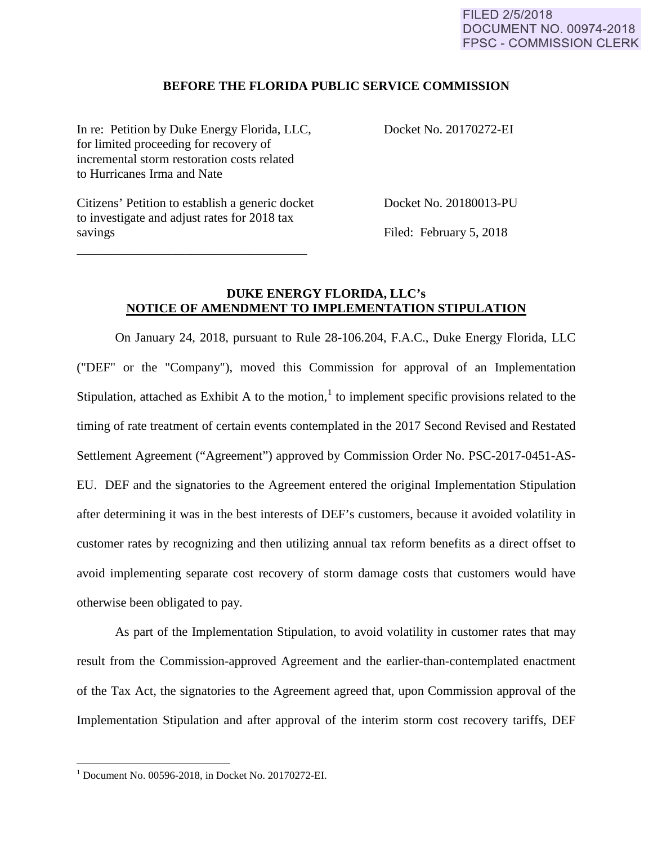### **BEFORE THE FLORIDA PUBLIC SERVICE COMMISSION**

In re: Petition by Duke Energy Florida, LLC, Docket No. 20170272-EI for limited proceeding for recovery of incremental storm restoration costs related to Hurricanes Irma and Nate

Citizens' Petition to establish a generic docket Docket No. 20180013-PU to investigate and adjust rates for 2018 tax savings Filed: February 5, 2018

\_\_\_\_\_\_\_\_\_\_\_\_\_\_\_\_\_\_\_\_\_\_\_\_\_\_\_\_\_\_\_\_\_\_\_\_

## **DUKE ENERGY FLORIDA, LLC's NOTICE OF AMENDMENT TO IMPLEMENTATION STIPULATION**

On January 24, 2018, pursuant to Rule 28-106.204, F.A.C., Duke Energy Florida, LLC ("DEF" or the "Company"), moved this Commission for approval of an Implementation Stipulation, attached as Exhibit A to the motion,<sup>1</sup> to implement specific provisions related to the timing of rate treatment of certain events contemplated in the 2017 Second Revised and Restated Settlement Agreement ("Agreement") approved by Commission Order No. PSC-2017-0451-AS-EU. DEF and the signatories to the Agreement entered the original Implementation Stipulation after determining it was in the best interests of DEF's customers, because it avoided volatility in customer rates by recognizing and then utilizing annual tax reform benefits as a direct offset to avoid implementing separate cost recovery of storm damage costs that customers would have otherwise been obligated to pay.

As part of the Implementation Stipulation, to avoid volatility in customer rates that may result from the Commission-approved Agreement and the earlier-than-contemplated enactment of the Tax Act, the signatories to the Agreement agreed that, upon Commission approval of the Implementation Stipulation and after approval of the interim storm cost recovery tariffs, DEF

 $\overline{\phantom{a}}$ 

 $1$  Document No. 00596-2018, in Docket No. 20170272-EI.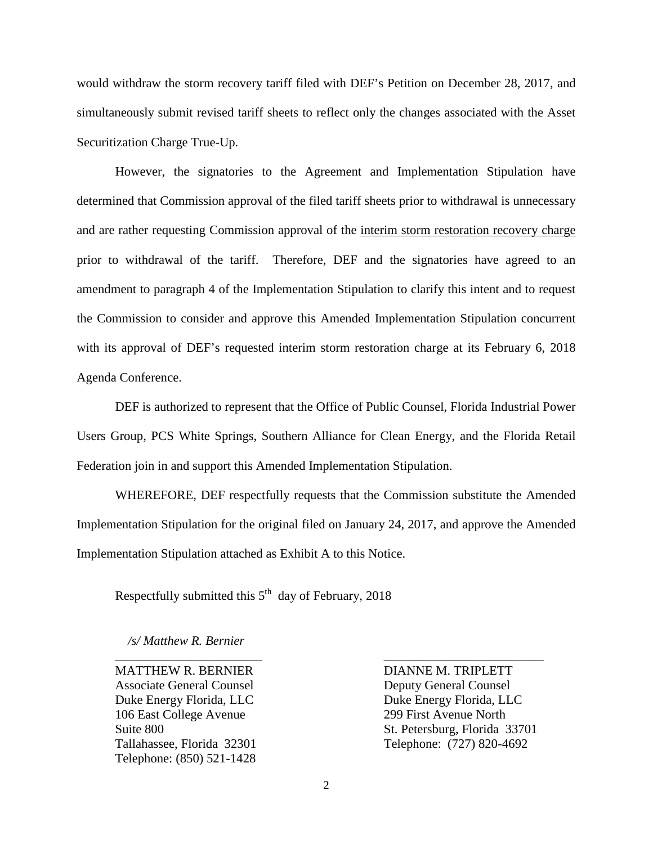would withdraw the storm recovery tariff filed with DEF's Petition on December 28, 2017, and simultaneously submit revised tariff sheets to reflect only the changes associated with the Asset Securitization Charge True-Up.

However, the signatories to the Agreement and Implementation Stipulation have determined that Commission approval of the filed tariff sheets prior to withdrawal is unnecessary and are rather requesting Commission approval of the interim storm restoration recovery charge prior to withdrawal of the tariff. Therefore, DEF and the signatories have agreed to an amendment to paragraph 4 of the Implementation Stipulation to clarify this intent and to request the Commission to consider and approve this Amended Implementation Stipulation concurrent with its approval of DEF's requested interim storm restoration charge at its February 6, 2018 Agenda Conference.

DEF is authorized to represent that the Office of Public Counsel, Florida Industrial Power Users Group, PCS White Springs, Southern Alliance for Clean Energy, and the Florida Retail Federation join in and support this Amended Implementation Stipulation.

WHEREFORE, DEF respectfully requests that the Commission substitute the Amended Implementation Stipulation for the original filed on January 24, 2017, and approve the Amended Implementation Stipulation attached as Exhibit A to this Notice.

Respectfully submitted this  $5<sup>th</sup>$  day of February, 2018

 */s/ Matthew R. Bernier*

Associate General Counsel **Deputy General Counsel** Duke Energy Florida, LLC<br>Duke Energy Florida, LLC 106 East College Avenue 299 First Avenue North Telephone: (850) 521-1428

MATTHEW R. BERNIER DIANNE M. TRIPLETT Suite 800 St. Petersburg, Florida 33701 Tallahassee, Florida 32301 Telephone: (727) 820-4692

\_\_\_\_\_\_\_\_\_\_\_\_\_\_\_\_\_\_\_\_\_\_\_ \_\_\_\_\_\_\_\_\_\_\_\_\_\_\_\_\_\_\_\_\_\_\_\_\_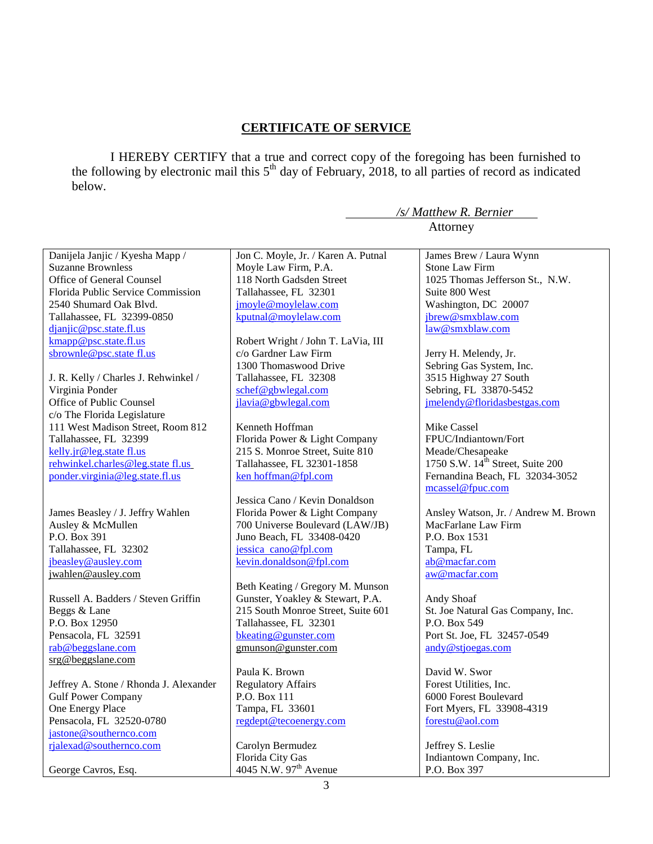## **CERTIFICATE OF SERVICE**

I HEREBY CERTIFY that a true and correct copy of the foregoing has been furnished to the following by electronic mail this  $5<sup>th</sup>$  day of February, 2018, to all parties of record as indicated below.

*/s/ Matthew R. Bernier*

3 Attorney Danijela Janjic / Kyesha Mapp / Suzanne Brownless Office of General Counsel Florida Public Service Commission 2540 Shumard Oak Blvd. Tallahassee, FL 32399-0850 djanjic@psc.state.fl.us kmapp@psc.state.fl.us sbrownle@psc.state fl.us J. R. Kelly / Charles J. Rehwinkel / Virginia Ponder Office of Public Counsel c/o The Florida Legislature 111 West Madison Street, Room 812 Tallahassee, FL 32399 kelly.jr@leg.state fl.us rehwinkel.charles@leg.state fl.us ponder.virginia@leg.state.fl.us James Beasley / J. Jeffry Wahlen Ausley & McMullen P.O. Box 391 Tallahassee, FL 32302 jbeasley@ausley.com jwahlen@ausley.com Russell A. Badders / Steven Griffin Beggs & Lane P.O. Box 12950 Pensacola, FL 32591 rab@beggslane.com srg@beggslane.com Jeffrey A. Stone / Rhonda J. Alexander Gulf Power Company One Energy Place Pensacola, FL 32520-0780 jastone@southernco.com rjalexad@southernco.com George Cavros, Esq. Jon C. Moyle, Jr. / Karen A. Putnal Moyle Law Firm, P.A. 118 North Gadsden Street Tallahassee, FL 32301 jmoyle@moylelaw.com kputnal@moylelaw.com Robert Wright / John T. LaVia, III c/o Gardner Law Firm 1300 Thomaswood Drive Tallahassee, FL 32308 schef@gbwlegal.com jlavia@gbwlegal.com Kenneth Hoffman Florida Power & Light Company 215 S. Monroe Street, Suite 810 Tallahassee, FL 32301-1858 ken hoffman@fpl.com Jessica Cano / Kevin Donaldson Florida Power & Light Company 700 Universe Boulevard (LAW/JB) Juno Beach, FL 33408-0420 jessica cano@fpl.com kevin.donaldson@fpl.com Beth Keating / Gregory M. Munson Gunster, Yoakley & Stewart, P.A. 215 South Monroe Street, Suite 601 Tallahassee, FL 32301 bkeating@gunster.com gmunson@gunster.com Paula K. Brown Regulatory Affairs P.O. Box 111 Tampa, FL 33601 regdept@tecoenergy.com Carolyn Bermudez Florida City Gas 4045 N.W. 97<sup>th</sup> Avenue James Brew / Laura Wynn Stone Law Firm 1025 Thomas Jefferson St., N.W. Suite 800 West Washington, DC 20007 jbrew@smxblaw.com law@smxblaw.com Jerry H. Melendy, Jr. Sebring Gas System, Inc. 3515 Highway 27 South Sebring, FL 33870-5452 jmelendy@floridasbestgas.com Mike Cassel FPUC/Indiantown/Fort Meade/Chesapeake 1750 S.W.  $14^{\text{th}}$  Street, Suite 200 Fernandina Beach, FL 32034-3052 mcassel@fpuc.com Ansley Watson, Jr. / Andrew M. Brown MacFarlane Law Firm P.O. Box 1531 Tampa, FL ab@macfar.com aw@macfar.com Andy Shoaf St. Joe Natural Gas Company, Inc. P.O. Box 549 Port St. Joe, FL 32457-0549 andy@stjoegas.com David W. Swor Forest Utilities, Inc. 6000 Forest Boulevard Fort Myers, FL 33908-4319 forestu@aol.com Jeffrey S. Leslie Indiantown Company, Inc. P.O. Box 397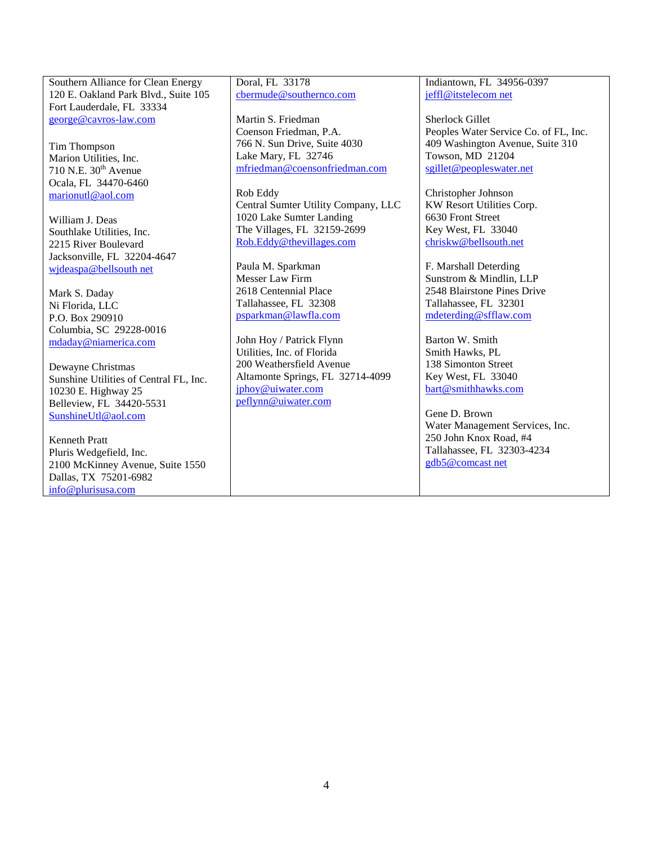Southern Alliance for Clean Energy 120 E. Oakland Park Blvd., Suite 105 Fort Lauderdale, FL 33334 george@cavros-law.com

Tim Thompson Marion Utilities, Inc. 710 N.E.  $30<sup>th</sup>$  Avenue Ocala, FL 34470-6460 marionutl@aol.com

William J. Deas Southlake Utilities, Inc. 2215 River Boulevard Jacksonville, FL 32204-4647 wjdeaspa@bellsouth net

Mark S. Daday Ni Florida, LLC P.O. Box 290910 Columbia, SC 29228-0016 mdaday@niamerica.com

Dewayne Christmas Sunshine Utilities of Central FL, Inc. 10230 E. Highway 25 Belleview, FL 34420-5531 SunshineUtl@aol.com

Kenneth Pratt Pluris Wedgefield, Inc. 2100 McKinney Avenue, Suite 1550 Dallas, TX 75201-6982 info@plurisusa.com

Doral, FL 33178 cbermude@southernco.com

Martin S. Friedman Coenson Friedman, P.A. 766 N. Sun Drive, Suite 4030 Lake Mary, FL 32746 mfriedman@coensonfriedman.com

Rob Eddy Central Sumter Utility Company, LLC 1020 Lake Sumter Landing The Villages, FL 32159-2699 Rob.Eddy@thevillages.com

Paula M. Sparkman Messer Law Firm 2618 Centennial Place Tallahassee, FL 32308 psparkman@lawfla.com

John Hoy / Patrick Flynn Utilities, Inc. of Florida 200 Weathersfield Avenue Altamonte Springs, FL 32714-4099 jphoy@uiwater.com peflynn@uiwater.com

Indiantown, FL 34956-0397 jeffl@itstelecom net

Sherlock Gillet Peoples Water Service Co. of FL, Inc. 409 Washington Avenue, Suite 310 Towson, MD 21204 sgillet@peopleswater.net

Christopher Johnson KW Resort Utilities Corp. 6630 Front Street Key West, FL 33040 chriskw@bellsouth.net

F. Marshall Deterding Sunstrom & Mindlin, LLP 2548 Blairstone Pines Drive Tallahassee, FL 32301 mdeterding@sfflaw.com

Barton W. Smith Smith Hawks, PL 138 Simonton Street Key West, FL 33040 bart@smithhawks.com

Gene D. Brown Water Management Services, Inc. 250 John Knox Road, #4 Tallahassee, FL 32303-4234 gdb5@comcast net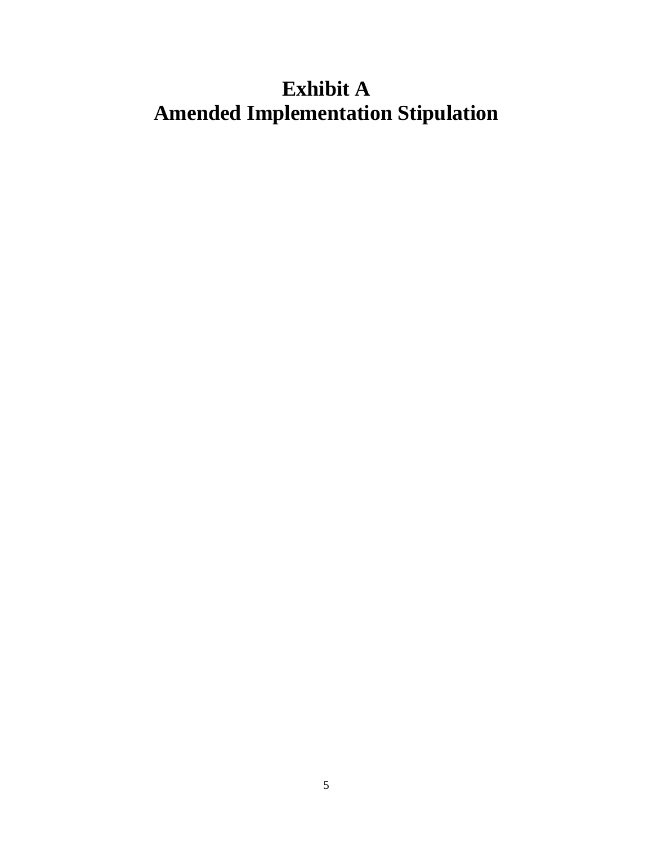# **Exhibit A Amended Implementation Stipulation**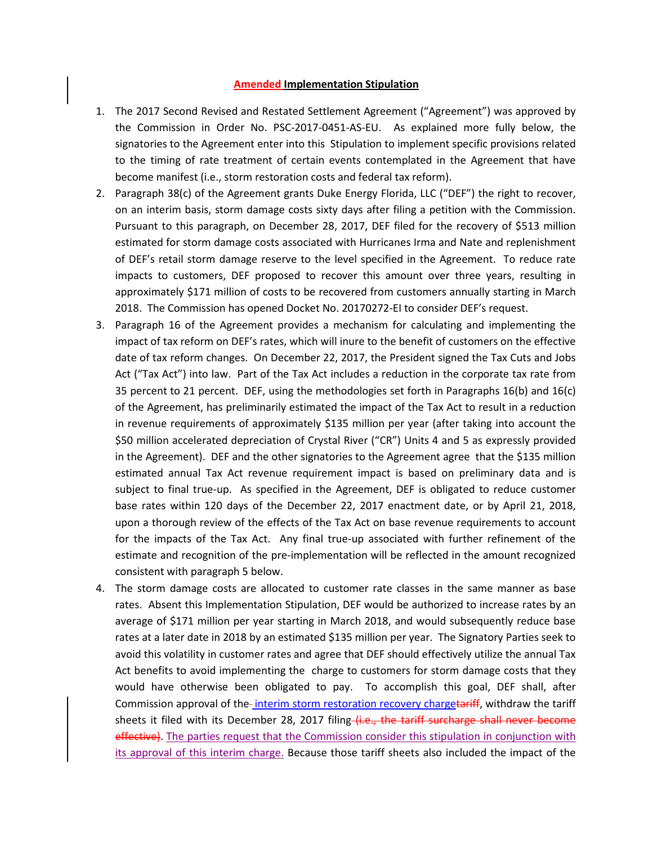#### **Amended Implementation Stipulation**

- 1. The 2017 Second Revised and Restated Settlement Agreement ("Agreement") was approved by the Commission in Order No. PSC-2017-0451-AS-EU. As explained more fully below, the signatories to the Agreement enter into this Stipulation to implement specific provisions related to the timing of rate treatment of certain events contemplated in the Agreement that have become manifest (i.e., storm restoration costs and federal tax reform).
- 2. Paragraph 38(c) of the Agreement grants Duke Energy Florida, LLC ("DEF") the right to recover, on an interim basis, storm damage costs sixty days after filing a petition with the Commission. Pursuant to this paragraph, on December 28, 2017, DEF filed for the recovery of \$513 million estimated for storm damage costs associated with Hurricanes Irma and Nate and replenishment of DEF's retail storm damage reserve to the level specified in the Agreement. To reduce rate impacts to customers, DEF proposed to recover this amount over three years, resulting in approximately \$171 million of costs to be recovered from customers annually starting in March 2018. The Commission has opened Docket No. 20170272-EI to consider DEF's request.
- 3. Paragraph 16 of the Agreement provides a mechanism for calculating and implementing the impact of tax reform on DEF's rates, which will inure to the benefit of customers on the effective date of tax reform changes. On December 22, 2017, the President signed the Tax Cuts and Jobs Act ("Tax Act") into law. Part of the Tax Act includes a reduction in the corporate tax rate from 35 percent to 21 percent. DEF, using the methodologies set forth in Paragraphs 16(b) and 16(c) of the Agreement, has preliminarily estimated the impact of the Tax Act to result in a reduction in revenue requirements of approximately \$135 million per year (after taking into account the \$50 million accelerated depreciation of Crystal River ("CR") Units 4 and 5 as expressly provided in the Agreement). DEF and the other signatories to the Agreement agree that the \$135 million estimated annual Tax Act revenue requirement impact is based on preliminary data and is subject to final true-up. As specified in the Agreement, DEF is obligated to reduce customer base rates within 120 days of the December 22, 2017 enactment date, or by April 21, 2018, upon a thorough review of the effects of the Tax Act on base revenue requirements to account for the impacts of the Tax Act. Any final true-up associated with further refinement of the estimate and recognition of the pre-implementation will be reflected in the amount recognized consistent with paragraph 5 below.
- 4. The storm damage costs are allocated to customer rate classes in the same manner as base rates. Absent this Implementation Stipulation, DEF would be authorized to increase rates by an average of \$171 million per year starting in March 2018, and would subsequently reduce base rates at a later date in 2018 by an estimated \$135 million per year. The Signatory Parties seek to avoid this volatility in customer rates and agree that DEF should effectively utilize the annual Tax Act benefits to avoid implementing the charge to customers for storm damage costs that they would have otherwise been obligated to pay. To accomplish this goal, DEF shall, after Commission approval of the-interim storm restoration recovery chargetariff, withdraw the tariff sheets it filed with its December 28, 2017 filing (i.e., the tariff surcharge shall never become effective). The parties request that the Commission consider this stipulation in conjunction with its approval of this interim charge. Because those tariff sheets also included the impact of the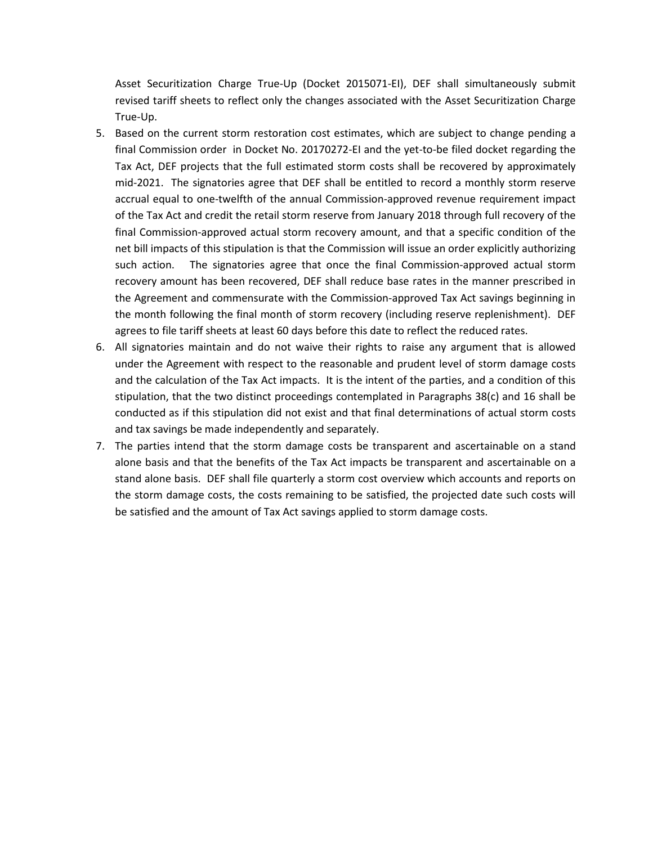Asset Securitization Charge True-Up (Docket 2015071-EI), DEF shall simultaneously submit revised tariff sheets to reflect only the changes associated with the Asset Securitization Charge True-Up.

- 5. Based on the current storm restoration cost estimates, which are subject to change pending a final Commission order in Docket No. 20170272-EI and the yet-to-be filed docket regarding the Tax Act, DEF projects that the full estimated storm costs shall be recovered by approximately mid-2021. The signatories agree that DEF shall be entitled to record a monthly storm reserve accrual equal to one-twelfth of the annual Commission-approved revenue requirement impact of the Tax Act and credit the retail storm reserve from January 2018 through full recovery of the final Commission-approved actual storm recovery amount, and that a specific condition of the net bill impacts of this stipulation is that the Commission will issue an order explicitly authorizing such action. The signatories agree that once the final Commission-approved actual storm recovery amount has been recovered, DEF shall reduce base rates in the manner prescribed in the Agreement and commensurate with the Commission-approved Tax Act savings beginning in the month following the final month of storm recovery (including reserve replenishment). DEF agrees to file tariff sheets at least 60 days before this date to reflect the reduced rates.
- 6. All signatories maintain and do not waive their rights to raise any argument that is allowed under the Agreement with respect to the reasonable and prudent level of storm damage costs and the calculation of the Tax Act impacts. It is the intent of the parties, and a condition of this stipulation, that the two distinct proceedings contemplated in Paragraphs 38(c) and 16 shall be conducted as if this stipulation did not exist and that final determinations of actual storm costs and tax savings be made independently and separately.
- 7. The parties intend that the storm damage costs be transparent and ascertainable on a stand alone basis and that the benefits of the Tax Act impacts be transparent and ascertainable on a stand alone basis. DEF shall file quarterly a storm cost overview which accounts and reports on the storm damage costs, the costs remaining to be satisfied, the projected date such costs will be satisfied and the amount of Tax Act savings applied to storm damage costs.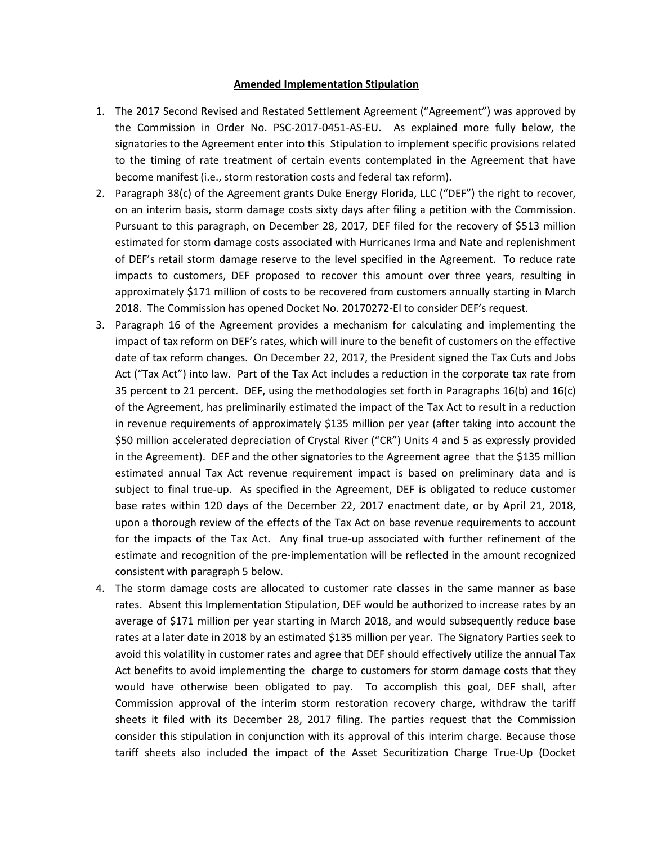### **Amended Implementation Stipulation**

- 1. The 2017 Second Revised and Restated Settlement Agreement ("Agreement") was approved by the Commission in Order No. PSC-2017-0451-AS-EU. As explained more fully below, the signatories to the Agreement enter into this Stipulation to implement specific provisions related to the timing of rate treatment of certain events contemplated in the Agreement that have become manifest (i.e., storm restoration costs and federal tax reform).
- 2. Paragraph 38(c) of the Agreement grants Duke Energy Florida, LLC ("DEF") the right to recover, on an interim basis, storm damage costs sixty days after filing a petition with the Commission. Pursuant to this paragraph, on December 28, 2017, DEF filed for the recovery of \$513 million estimated for storm damage costs associated with Hurricanes Irma and Nate and replenishment of DEF's retail storm damage reserve to the level specified in the Agreement. To reduce rate impacts to customers, DEF proposed to recover this amount over three years, resulting in approximately \$171 million of costs to be recovered from customers annually starting in March 2018. The Commission has opened Docket No. 20170272-EI to consider DEF's request.
- 3. Paragraph 16 of the Agreement provides a mechanism for calculating and implementing the impact of tax reform on DEF's rates, which will inure to the benefit of customers on the effective date of tax reform changes. On December 22, 2017, the President signed the Tax Cuts and Jobs Act ("Tax Act") into law. Part of the Tax Act includes a reduction in the corporate tax rate from 35 percent to 21 percent. DEF, using the methodologies set forth in Paragraphs 16(b) and 16(c) of the Agreement, has preliminarily estimated the impact of the Tax Act to result in a reduction in revenue requirements of approximately \$135 million per year (after taking into account the \$50 million accelerated depreciation of Crystal River ("CR") Units 4 and 5 as expressly provided in the Agreement). DEF and the other signatories to the Agreement agree that the \$135 million estimated annual Tax Act revenue requirement impact is based on preliminary data and is subject to final true-up. As specified in the Agreement, DEF is obligated to reduce customer base rates within 120 days of the December 22, 2017 enactment date, or by April 21, 2018, upon a thorough review of the effects of the Tax Act on base revenue requirements to account for the impacts of the Tax Act. Any final true-up associated with further refinement of the estimate and recognition of the pre-implementation will be reflected in the amount recognized consistent with paragraph 5 below.
- 4. The storm damage costs are allocated to customer rate classes in the same manner as base rates. Absent this Implementation Stipulation, DEF would be authorized to increase rates by an average of \$171 million per year starting in March 2018, and would subsequently reduce base rates at a later date in 2018 by an estimated \$135 million per year. The Signatory Parties seek to avoid this volatility in customer rates and agree that DEF should effectively utilize the annual Tax Act benefits to avoid implementing the charge to customers for storm damage costs that they would have otherwise been obligated to pay. To accomplish this goal, DEF shall, after Commission approval of the interim storm restoration recovery charge, withdraw the tariff sheets it filed with its December 28, 2017 filing. The parties request that the Commission consider this stipulation in conjunction with its approval of this interim charge. Because those tariff sheets also included the impact of the Asset Securitization Charge True-Up (Docket